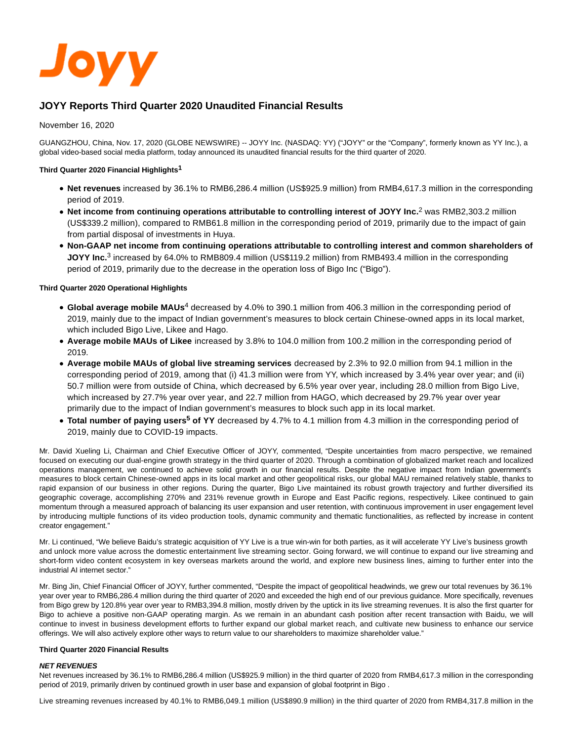

# **JOYY Reports Third Quarter 2020 Unaudited Financial Results**

November 16, 2020

GUANGZHOU, China, Nov. 17, 2020 (GLOBE NEWSWIRE) -- JOYY Inc. (NASDAQ: YY) ("JOYY" or the "Company", formerly known as YY Inc.), a global video-based social media platform, today announced its unaudited financial results for the third quarter of 2020.

# **Third Quarter 2020 Financial Highlights1**

- **Net revenues** increased by 36.1% to RMB6,286.4 million (US\$925.9 million) from RMB4,617.3 million in the corresponding period of 2019.
- Net income from continuing operations attributable to controlling interest of JOYY Inc.<sup>2</sup> was RMB2,303.2 million (US\$339.2 million), compared to RMB61.8 million in the corresponding period of 2019, primarily due to the impact of gain from partial disposal of investments in Huya.
- **Non-GAAP net income from continuing operations attributable to controlling interest and common shareholders of JOYY Inc.**<sup>3</sup> increased by 64.0% to RMB809.4 million (US\$119.2 million) from RMB493.4 million in the corresponding period of 2019, primarily due to the decrease in the operation loss of Bigo Inc ("Bigo").

# **Third Quarter 2020 Operational Highlights**

- Global average mobile MAUs<sup>4</sup> decreased by 4.0% to 390.1 million from 406.3 million in the corresponding period of 2019, mainly due to the impact of Indian government's measures to block certain Chinese-owned apps in its local market, which included Bigo Live, Likee and Hago.
- **Average mobile MAUs of Likee** increased by 3.8% to 104.0 million from 100.2 million in the corresponding period of 2019.
- **Average mobile MAUs of global live streaming services** decreased by 2.3% to 92.0 million from 94.1 million in the corresponding period of 2019, among that (i) 41.3 million were from YY, which increased by 3.4% year over year; and (ii) 50.7 million were from outside of China, which decreased by 6.5% year over year, including 28.0 million from Bigo Live, which increased by 27.7% year over year, and 22.7 million from HAGO, which decreased by 29.7% year over year primarily due to the impact of Indian government's measures to block such app in its local market.
- **Total number of paying users<sup>5</sup> of YY** decreased by 4.7% to 4.1 million from 4.3 million in the corresponding period of 2019, mainly due to COVID-19 impacts.

Mr. David Xueling Li, Chairman and Chief Executive Officer of JOYY, commented, "Despite uncertainties from macro perspective, we remained focused on executing our dual-engine growth strategy in the third quarter of 2020. Through a combination of globalized market reach and localized operations management, we continued to achieve solid growth in our financial results. Despite the negative impact from Indian government's measures to block certain Chinese-owned apps in its local market and other geopolitical risks, our global MAU remained relatively stable, thanks to rapid expansion of our business in other regions. During the quarter, Bigo Live maintained its robust growth trajectory and further diversified its geographic coverage, accomplishing 270% and 231% revenue growth in Europe and East Pacific regions, respectively. Likee continued to gain momentum through a measured approach of balancing its user expansion and user retention, with continuous improvement in user engagement level by introducing multiple functions of its video production tools, dynamic community and thematic functionalities, as reflected by increase in content creator engagement."

Mr. Li continued, "We believe Baidu's strategic acquisition of YY Live is a true win-win for both parties, as it will accelerate YY Live's business growth and unlock more value across the domestic entertainment live streaming sector. Going forward, we will continue to expand our live streaming and short-form video content ecosystem in key overseas markets around the world, and explore new business lines, aiming to further enter into the industrial AI internet sector."

Mr. Bing Jin, Chief Financial Officer of JOYY, further commented, "Despite the impact of geopolitical headwinds, we grew our total revenues by 36.1% year over year to RMB6,286.4 million during the third quarter of 2020 and exceeded the high end of our previous guidance. More specifically, revenues from Bigo grew by 120.8% year over year to RMB3,394.8 million, mostly driven by the uptick in its live streaming revenues. It is also the first quarter for Bigo to achieve a positive non-GAAP operating margin. As we remain in an abundant cash position after recent transaction with Baidu, we will continue to invest in business development efforts to further expand our global market reach, and cultivate new business to enhance our service offerings. We will also actively explore other ways to return value to our shareholders to maximize shareholder value."

## **Third Quarter 2020 Financial Results**

## **NET REVENUES**

Net revenues increased by 36.1% to RMB6,286.4 million (US\$925.9 million) in the third quarter of 2020 from RMB4,617.3 million in the corresponding period of 2019, primarily driven by continued growth in user base and expansion of global footprint in Bigo .

Live streaming revenues increased by 40.1% to RMB6,049.1 million (US\$890.9 million) in the third quarter of 2020 from RMB4,317.8 million in the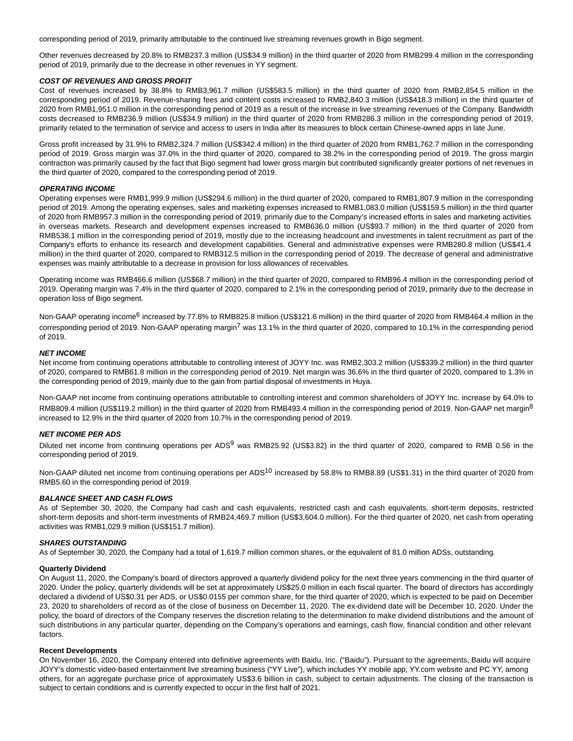corresponding period of 2019, primarily attributable to the continued live streaming revenues growth in Bigo segment.

Other revenues decreased by 20.8% to RMB237.3 million (US\$34.9 million) in the third quarter of 2020 from RMB299.4 million in the corresponding period of 2019, primarily due to the decrease in other revenues in YY segment.

#### **COST OF REVENUES AND GROSS PROFIT**

Cost of revenues increased by 38.8% to RMB3,961.7 million (US\$583.5 million) in the third quarter of 2020 from RMB2,854.5 million in the corresponding period of 2019. Revenue-sharing fees and content costs increased to RMB2,840.3 million (US\$418.3 million) in the third quarter of 2020 from RMB1,951.0 million in the corresponding period of 2019 as a result of the increase in live streaming revenues of the Company. Bandwidth costs decreased to RMB236.9 million (US\$34.9 million) in the third quarter of 2020 from RMB286.3 million in the corresponding period of 2019, primarily related to the termination of service and access to users in India after its measures to block certain Chinese-owned apps in late June.

Gross profit increased by 31.9% to RMB2,324.7 million (US\$342.4 million) in the third quarter of 2020 from RMB1,762.7 million in the corresponding period of 2019. Gross margin was 37.0% in the third quarter of 2020, compared to 38.2% in the corresponding period of 2019. The gross margin contraction was primarily caused by the fact that Bigo segment had lower gross margin but contributed significantly greater portions of net revenues in the third quarter of 2020, compared to the corresponding period of 2019.

#### **OPERATING INCOME**

Operating expenses were RMB1,999.9 million (US\$294.6 million) in the third quarter of 2020, compared to RMB1,807.9 million in the corresponding period of 2019. Among the operating expenses, sales and marketing expenses increased to RMB1,083.0 million (US\$159.5 million) in the third quarter of 2020 from RMB957.3 million in the corresponding period of 2019, primarily due to the Company's increased efforts in sales and marketing activities in overseas markets. Research and development expenses increased to RMB636.0 million (US\$93.7 million) in the third quarter of 2020 from RMB538.1 million in the corresponding period of 2019, mostly due to the increasing headcount and investments in talent recruitment as part of the Company's efforts to enhance its research and development capabilities. General and administrative expenses were RMB280.8 million (US\$41.4 million) in the third quarter of 2020, compared to RMB312.5 million in the corresponding period of 2019. The decrease of general and administrative expenses was mainly attributable to a decrease in provision for loss allowances of receivables.

Operating income was RMB466.6 million (US\$68.7 million) in the third quarter of 2020, compared to RMB96.4 million in the corresponding period of 2019. Operating margin was 7.4% in the third quarter of 2020, compared to 2.1% in the corresponding period of 2019, primarily due to the decrease in operation loss of Bigo segment.

Non-GAAP operating income<sup>6</sup> increased by 77.8% to RMB825.8 million (US\$121.6 million) in the third quarter of 2020 from RMB464.4 million in the corresponding period of 2019. Non-GAAP operating margin<sup>7</sup> was 13.1% in the third quarter of 2020, compared to 10.1% in the corresponding period of 2019.

#### **NET INCOME**

Net income from continuing operations attributable to controlling interest of JOYY Inc. was RMB2,303.2 million (US\$339.2 million) in the third quarter of 2020, compared to RMB61.8 million in the corresponding period of 2019. Net margin was 36.6% in the third quarter of 2020, compared to 1.3% in the corresponding period of 2019, mainly due to the gain from partial disposal of investments in Huya.

Non-GAAP net income from continuing operations attributable to controlling interest and common shareholders of JOYY Inc. increase by 64.0% to RMB809.4 million (US\$119.2 million) in the third quarter of 2020 from RMB493.4 million in the corresponding period of 2019. Non-GAAP net margin<sup>8</sup> increased to 12.9% in the third quarter of 2020 from 10.7% in the corresponding period of 2019.

#### **NET INCOME PER ADS**

Diluted net income from continuing operations per ADS<sup>9</sup> was RMB25.92 (US\$3.82) in the third quarter of 2020, compared to RMB 0.56 in the corresponding period of 2019.

Non-GAAP diluted net income from continuing operations per ADS<sup>10</sup> increased by 58.8% to RMB8.89 (US\$1.31) in the third quarter of 2020 from RMB5.60 in the corresponding period of 2019.

#### **BALANCE SHEET AND CASH FLOWS**

As of September 30, 2020, the Company had cash and cash equivalents, restricted cash and cash equivalents, short-term deposits, restricted short-term deposits and short-term investments of RMB24,469.7 million (US\$3,604.0 million). For the third quarter of 2020, net cash from operating activities was RMB1,029.9 million (US\$151.7 million).

### **SHARES OUTSTANDING**

As of September 30, 2020, the Company had a total of 1,619.7 million common shares, or the equivalent of 81.0 million ADSs, outstanding.

#### **Quarterly Dividend**

On August 11, 2020, the Company's board of directors approved a quarterly dividend policy for the next three years commencing in the third quarter of 2020. Under the policy, quarterly dividends will be set at approximately US\$25.0 million in each fiscal quarter. The board of directors has accordingly declared a dividend of US\$0.31 per ADS, or US\$0.0155 per common share, for the third quarter of 2020, which is expected to be paid on December 23, 2020 to shareholders of record as of the close of business on December 11, 2020. The ex-dividend date will be December 10, 2020. Under the policy, the board of directors of the Company reserves the discretion relating to the determination to make dividend distributions and the amount of such distributions in any particular quarter, depending on the Company's operations and earnings, cash flow, financial condition and other relevant factors.

#### **Recent Developments**

On November 16, 2020, the Company entered into definitive agreements with Baidu, Inc. ("Baidu"). Pursuant to the agreements, Baidu will acquire JOYY's domestic video-based entertainment live streaming business ("YY Live"), which includes YY mobile app, YY.com website and PC YY, among others, for an aggregate purchase price of approximately US\$3.6 billion in cash, subject to certain adjustments. The closing of the transaction is subject to certain conditions and is currently expected to occur in the first half of 2021.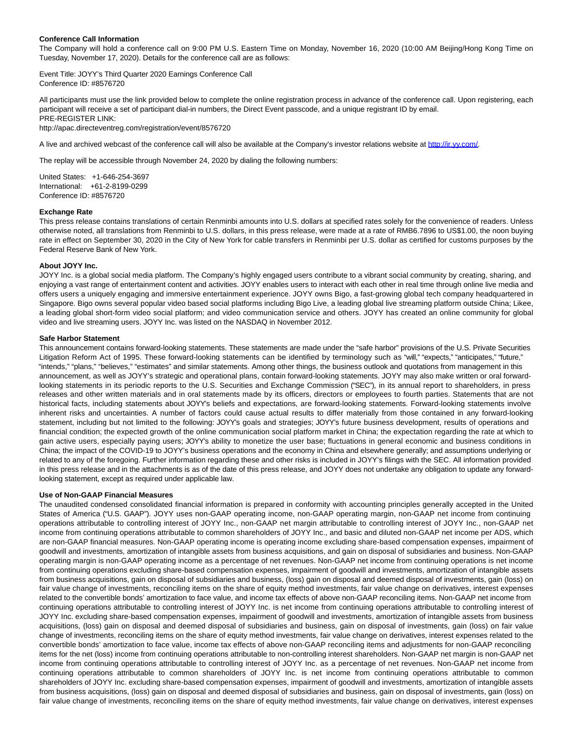## **Conference Call Information**

The Company will hold a conference call on 9:00 PM U.S. Eastern Time on Monday, November 16, 2020 (10:00 AM Beijing/Hong Kong Time on Tuesday, November 17, 2020). Details for the conference call are as follows:

Event Title: JOYY's Third Quarter 2020 Earnings Conference Call Conference ID: #8576720

All participants must use the link provided below to complete the online registration process in advance of the conference call. Upon registering, each participant will receive a set of participant dial-in numbers, the Direct Event passcode, and a unique registrant ID by email. PRE-REGISTER LINK:

http://apac.directeventreg.com/registration/event/8576720

A live and archived webcast of the conference call will also be available at the Company's investor relations website at [http://ir.yy.com/.](https://www.globenewswire.com/Tracker?data=UcxyEcA4kjuwnvyFfLHMZmdn8uCJJX84yH1CijBLGVUh0kpLKkr5SmKr_VSUDDSVOh4LU0pYotPZnWw-v8m1sA==)

The replay will be accessible through November 24, 2020 by dialing the following numbers:

United States: +1-646-254-3697 International: +61-2-8199-0299 Conference ID: #8576720

## **Exchange Rate**

This press release contains translations of certain Renminbi amounts into U.S. dollars at specified rates solely for the convenience of readers. Unless otherwise noted, all translations from Renminbi to U.S. dollars, in this press release, were made at a rate of RMB6.7896 to US\$1.00, the noon buying rate in effect on September 30, 2020 in the City of New York for cable transfers in Renminbi per U.S. dollar as certified for customs purposes by the Federal Reserve Bank of New York.

## **About JOYY Inc.**

JOYY Inc. is a global social media platform. The Company's highly engaged users contribute to a vibrant social community by creating, sharing, and enjoying a vast range of entertainment content and activities. JOYY enables users to interact with each other in real time through online live media and offers users a uniquely engaging and immersive entertainment experience. JOYY owns Bigo, a fast-growing global tech company headquartered in Singapore. Bigo owns several popular video based social platforms including Bigo Live, a leading global live streaming platform outside China; Likee, a leading global short-form video social platform; and video communication service and others. JOYY has created an online community for global video and live streaming users. JOYY Inc. was listed on the NASDAQ in November 2012.

## **Safe Harbor Statement**

This announcement contains forward-looking statements. These statements are made under the "safe harbor" provisions of the U.S. Private Securities Litigation Reform Act of 1995. These forward-looking statements can be identified by terminology such as "will," "expects," "anticipates," "future," "intends," "plans," "believes," "estimates" and similar statements. Among other things, the business outlook and quotations from management in this announcement, as well as JOYY's strategic and operational plans, contain forward-looking statements. JOYY may also make written or oral forwardlooking statements in its periodic reports to the U.S. Securities and Exchange Commission ("SEC"), in its annual report to shareholders, in press releases and other written materials and in oral statements made by its officers, directors or employees to fourth parties. Statements that are not historical facts, including statements about JOYY's beliefs and expectations, are forward-looking statements. Forward-looking statements involve inherent risks and uncertainties. A number of factors could cause actual results to differ materially from those contained in any forward-looking statement, including but not limited to the following: JOYY's goals and strategies; JOYY's future business development, results of operations and financial condition; the expected growth of the online communication social platform market in China; the expectation regarding the rate at which to gain active users, especially paying users; JOYY's ability to monetize the user base; fluctuations in general economic and business conditions in China; the impact of the COVID-19 to JOYY's business operations and the economy in China and elsewhere generally; and assumptions underlying or related to any of the foregoing. Further information regarding these and other risks is included in JOYY's filings with the SEC. All information provided in this press release and in the attachments is as of the date of this press release, and JOYY does not undertake any obligation to update any forwardlooking statement, except as required under applicable law.

## **Use of Non-GAAP Financial Measures**

The unaudited condensed consolidated financial information is prepared in conformity with accounting principles generally accepted in the United States of America ("U.S. GAAP"). JOYY uses non-GAAP operating income, non-GAAP operating margin, non-GAAP net income from continuing operations attributable to controlling interest of JOYY Inc., non-GAAP net margin attributable to controlling interest of JOYY Inc., non-GAAP net income from continuing operations attributable to common shareholders of JOYY Inc., and basic and diluted non-GAAP net income per ADS, which are non-GAAP financial measures. Non-GAAP operating income is operating income excluding share-based compensation expenses, impairment of goodwill and investments, amortization of intangible assets from business acquisitions, and gain on disposal of subsidiaries and business. Non-GAAP operating margin is non-GAAP operating income as a percentage of net revenues. Non-GAAP net income from continuing operations is net income from continuing operations excluding share-based compensation expenses, impairment of goodwill and investments, amortization of intangible assets from business acquisitions, gain on disposal of subsidiaries and business, (loss) gain on disposal and deemed disposal of investments, gain (loss) on fair value change of investments, reconciling items on the share of equity method investments, fair value change on derivatives, interest expenses related to the convertible bonds' amortization to face value, and income tax effects of above non-GAAP reconciling items. Non-GAAP net income from continuing operations attributable to controlling interest of JOYY Inc. is net income from continuing operations attributable to controlling interest of JOYY Inc. excluding share-based compensation expenses, impairment of goodwill and investments, amortization of intangible assets from business acquisitions, (loss) gain on disposal and deemed disposal of subsidiaries and business, gain on disposal of investments, gain (loss) on fair value change of investments, reconciling items on the share of equity method investments, fair value change on derivatives, interest expenses related to the convertible bonds' amortization to face value, income tax effects of above non-GAAP reconciling items and adjustments for non-GAAP reconciling items for the net (loss) income from continuing operations attributable to non-controlling interest shareholders. Non-GAAP net margin is non-GAAP net income from continuing operations attributable to controlling interest of JOYY Inc. as a percentage of net revenues. Non-GAAP net income from continuing operations attributable to common shareholders of JOYY Inc. is net income from continuing operations attributable to common shareholders of JOYY Inc. excluding share-based compensation expenses, impairment of goodwill and investments, amortization of intangible assets from business acquisitions, (loss) gain on disposal and deemed disposal of subsidiaries and business, gain on disposal of investments, gain (loss) on fair value change of investments, reconciling items on the share of equity method investments, fair value change on derivatives, interest expenses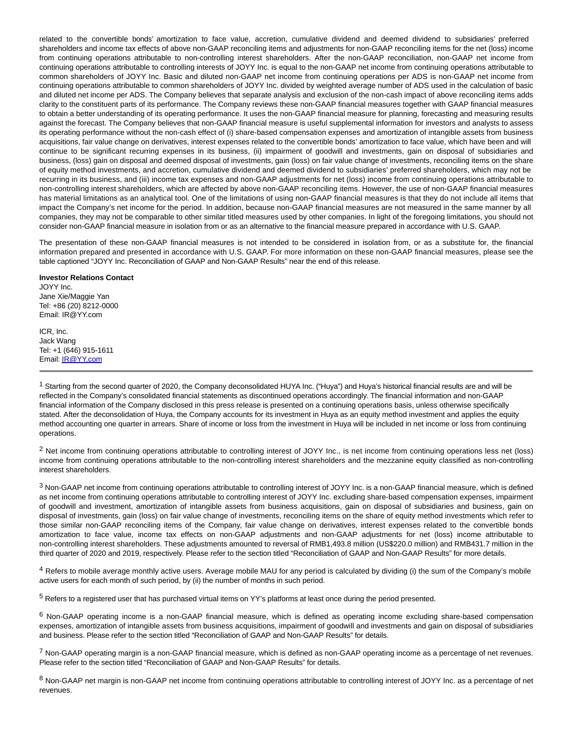related to the convertible bonds' amortization to face value, accretion, cumulative dividend and deemed dividend to subsidiaries' preferred shareholders and income tax effects of above non-GAAP reconciling items and adjustments for non-GAAP reconciling items for the net (loss) income from continuing operations attributable to non-controlling interest shareholders. After the non-GAAP reconciliation, non-GAAP net income from continuing operations attributable to controlling interests of JOYY Inc. is equal to the non-GAAP net income from continuing operations attributable to common shareholders of JOYY Inc. Basic and diluted non-GAAP net income from continuing operations per ADS is non-GAAP net income from continuing operations attributable to common shareholders of JOYY Inc. divided by weighted average number of ADS used in the calculation of basic and diluted net income per ADS. The Company believes that separate analysis and exclusion of the non-cash impact of above reconciling items adds clarity to the constituent parts of its performance. The Company reviews these non-GAAP financial measures together with GAAP financial measures to obtain a better understanding of its operating performance. It uses the non-GAAP financial measure for planning, forecasting and measuring results against the forecast. The Company believes that non-GAAP financial measure is useful supplemental information for investors and analysts to assess its operating performance without the non-cash effect of (i) share-based compensation expenses and amortization of intangible assets from business acquisitions, fair value change on derivatives, interest expenses related to the convertible bonds' amortization to face value, which have been and will continue to be significant recurring expenses in its business, (ii) impairment of goodwill and investments, gain on disposal of subsidiaries and business, (loss) gain on disposal and deemed disposal of investments, gain (loss) on fair value change of investments, reconciling items on the share of equity method investments, and accretion, cumulative dividend and deemed dividend to subsidiaries' preferred shareholders, which may not be recurring in its business, and (iii) income tax expenses and non-GAAP adjustments for net (loss) income from continuing operations attributable to non-controlling interest shareholders, which are affected by above non-GAAP reconciling items. However, the use of non-GAAP financial measures has material limitations as an analytical tool. One of the limitations of using non-GAAP financial measures is that they do not include all items that impact the Company's net income for the period. In addition, because non-GAAP financial measures are not measured in the same manner by all companies, they may not be comparable to other similar titled measures used by other companies. In light of the foregoing limitations, you should not consider non-GAAP financial measure in isolation from or as an alternative to the financial measure prepared in accordance with U.S. GAAP.

The presentation of these non-GAAP financial measures is not intended to be considered in isolation from, or as a substitute for, the financial information prepared and presented in accordance with U.S. GAAP. For more information on these non-GAAP financial measures, please see the table captioned "JOYY Inc. Reconciliation of GAAP and Non-GAAP Results" near the end of this release.

### **Investor Relations Contact**

JOYY Inc. Jane Xie/Maggie Yan Tel: +86 (20) 8212-0000 Email: IR@YY.com

ICR, Inc. Jack Wang Tel: +1 (646) 915-1611 Email[: IR@YY.com](https://www.globenewswire.com/Tracker?data=v29_m5lSnMsJFri3Hcp61kENDOi-WAJb_6x_rjIebuEwRTZRAlfbPbuw7nXeZajC)

 $1$  Starting from the second quarter of 2020, the Company deconsolidated HUYA Inc. ("Huya") and Huya's historical financial results are and will be reflected in the Company's consolidated financial statements as discontinued operations accordingly. The financial information and non-GAAP financial information of the Company disclosed in this press release is presented on a continuing operations basis, unless otherwise specifically stated. After the deconsolidation of Huya, the Company accounts for its investment in Huya as an equity method investment and applies the equity method accounting one quarter in arrears. Share of income or loss from the investment in Huya will be included in net income or loss from continuing operations.

<sup>2</sup> Net income from continuing operations attributable to controlling interest of JOYY Inc., is net income from continuing operations less net (loss) income from continuing operations attributable to the non-controlling interest shareholders and the mezzanine equity classified as non-controlling interest shareholders.

3 Non-GAAP net income from continuing operations attributable to controlling interest of JOYY Inc. is a non-GAAP financial measure, which is defined as net income from continuing operations attributable to controlling interest of JOYY Inc. excluding share-based compensation expenses, impairment of goodwill and investment, amortization of intangible assets from business acquisitions, gain on disposal of subsidiaries and business, gain on disposal of investments, gain (loss) on fair value change of investments, reconciling items on the share of equity method investments which refer to those similar non-GAAP reconciling items of the Company, fair value change on derivatives, interest expenses related to the convertible bonds amortization to face value, income tax effects on non-GAAP adjustments and non-GAAP adjustments for net (loss) income attributable to non-controlling interest shareholders. These adjustments amounted to reversal of RMB1,493.8 million (US\$220.0 million) and RMB431.7 million in the third quarter of 2020 and 2019, respectively. Please refer to the section titled "Reconciliation of GAAP and Non-GAAP Results" for more details.

4 Refers to mobile average monthly active users. Average mobile MAU for any period is calculated by dividing (i) the sum of the Company's mobile active users for each month of such period, by (ii) the number of months in such period.

<sup>5</sup> Refers to a registered user that has purchased virtual items on YY's platforms at least once during the period presented.

 $6$  Non-GAAP operating income is a non-GAAP financial measure, which is defined as operating income excluding share-based compensation expenses, amortization of intangible assets from business acquisitions, impairment of goodwill and investments and gain on disposal of subsidiaries and business. Please refer to the section titled "Reconciliation of GAAP and Non-GAAP Results" for details.

7 Non-GAAP operating margin is a non-GAAP financial measure, which is defined as non-GAAP operating income as a percentage of net revenues. Please refer to the section titled "Reconciliation of GAAP and Non-GAAP Results" for details.

8 Non-GAAP net margin is non-GAAP net income from continuing operations attributable to controlling interest of JOYY Inc. as a percentage of net revenues.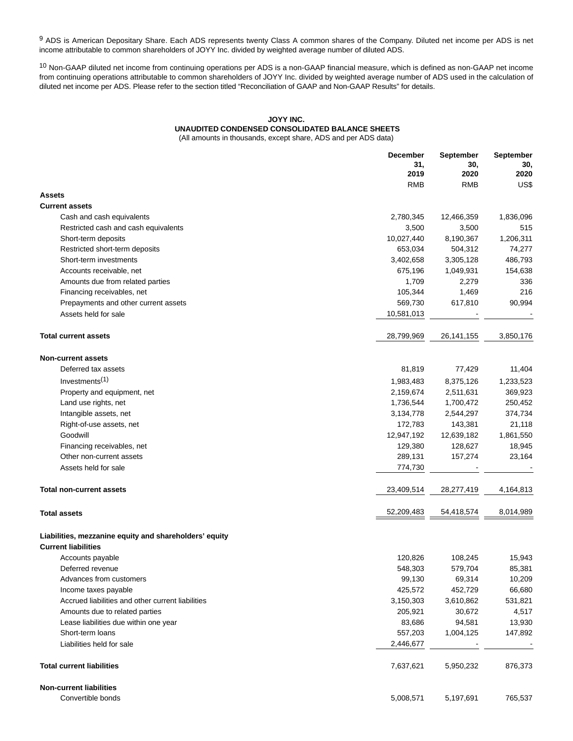9 ADS is American Depositary Share. Each ADS represents twenty Class A common shares of the Company. Diluted net income per ADS is net income attributable to common shareholders of JOYY Inc. divided by weighted average number of diluted ADS.

10 Non-GAAP diluted net income from continuing operations per ADS is a non-GAAP financial measure, which is defined as non-GAAP net income from continuing operations attributable to common shareholders of JOYY Inc. divided by weighted average number of ADS used in the calculation of diluted net income per ADS. Please refer to the section titled "Reconciliation of GAAP and Non-GAAP Results" for details.

# **JOYY INC. UNAUDITED CONDENSED CONSOLIDATED BALANCE SHEETS**

|                                                        | <b>December</b><br>31,<br>2019<br><b>RMB</b> | <b>September</b><br>30,<br>2020<br><b>RMB</b> | <b>September</b><br>30,<br>2020<br>US\$ |
|--------------------------------------------------------|----------------------------------------------|-----------------------------------------------|-----------------------------------------|
| <b>Assets</b>                                          |                                              |                                               |                                         |
| <b>Current assets</b>                                  |                                              |                                               |                                         |
| Cash and cash equivalents                              | 2,780,345                                    | 12,466,359                                    | 1,836,096                               |
| Restricted cash and cash equivalents                   | 3,500                                        | 3,500                                         | 515                                     |
| Short-term deposits                                    | 10,027,440                                   | 8,190,367                                     | 1,206,311                               |
| Restricted short-term deposits                         | 653,034                                      | 504,312                                       | 74,277                                  |
| Short-term investments                                 | 3,402,658                                    | 3,305,128                                     | 486,793                                 |
| Accounts receivable, net                               | 675,196                                      | 1,049,931                                     | 154,638                                 |
| Amounts due from related parties                       | 1,709                                        | 2,279                                         | 336                                     |
| Financing receivables, net                             | 105,344                                      | 1,469                                         | 216                                     |
| Prepayments and other current assets                   | 569,730                                      | 617,810                                       | 90,994                                  |
| Assets held for sale                                   | 10,581,013                                   |                                               |                                         |
|                                                        |                                              |                                               |                                         |
| <b>Total current assets</b>                            | 28,799,969                                   | 26, 141, 155                                  | 3,850,176                               |
| <b>Non-current assets</b>                              |                                              |                                               |                                         |
| Deferred tax assets                                    | 81,819                                       | 77,429                                        | 11,404                                  |
| Investments <sup>(1)</sup>                             | 1,983,483                                    | 8,375,126                                     | 1,233,523                               |
| Property and equipment, net                            | 2,159,674                                    | 2,511,631                                     | 369,923                                 |
| Land use rights, net                                   | 1,736,544                                    | 1,700,472                                     | 250,452                                 |
| Intangible assets, net                                 | 3,134,778                                    | 2,544,297                                     | 374,734                                 |
| Right-of-use assets, net                               | 172,783                                      | 143,381                                       | 21,118                                  |
| Goodwill                                               | 12,947,192                                   | 12,639,182                                    | 1,861,550                               |
| Financing receivables, net                             | 129,380                                      | 128,627                                       | 18,945                                  |
| Other non-current assets                               | 289,131                                      | 157,274                                       | 23,164                                  |
| Assets held for sale                                   | 774,730                                      |                                               |                                         |
| <b>Total non-current assets</b>                        | 23,409,514                                   | 28,277,419                                    | 4,164,813                               |
| <b>Total assets</b>                                    | 52,209,483                                   | 54,418,574                                    | 8,014,989                               |
| Liabilities, mezzanine equity and shareholders' equity |                                              |                                               |                                         |
| <b>Current liabilities</b>                             |                                              |                                               |                                         |
| Accounts payable                                       | 120,826                                      | 108,245                                       | 15,943                                  |
| Deferred revenue                                       | 548,303                                      | 579,704                                       | 85,381                                  |
| Advances from customers                                | 99,130                                       | 69,314                                        | 10,209                                  |
| Income taxes payable                                   | 425,572                                      | 452,729                                       | 66,680                                  |
| Accrued liabilities and other current liabilities      | 3,150,303                                    | 3,610,862                                     | 531,821                                 |
| Amounts due to related parties                         | 205,921                                      | 30,672                                        | 4,517                                   |
| Lease liabilities due within one year                  | 83,686                                       | 94,581                                        | 13,930                                  |
| Short-term loans                                       | 557,203                                      | 1,004,125                                     | 147,892                                 |
| Liabilities held for sale                              | 2,446,677                                    |                                               |                                         |
| <b>Total current liabilities</b>                       | 7,637,621                                    | 5,950,232                                     | 876,373                                 |
| <b>Non-current liabilities</b>                         |                                              |                                               |                                         |
| Convertible bonds                                      | 5,008,571                                    | 5,197,691                                     | 765,537                                 |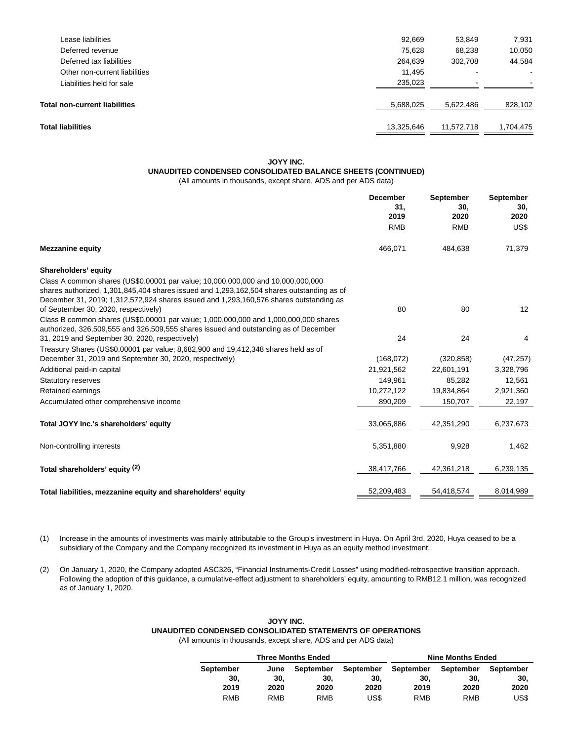| Lease liabilities             | 92,669     | 53.849     | 7,931                        |
|-------------------------------|------------|------------|------------------------------|
| Deferred revenue              | 75,628     | 68.238     | 10,050                       |
| Deferred tax liabilities      | 264,639    | 302.708    | 44,584                       |
| Other non-current liabilities | 11.495     |            | ٠                            |
| Liabilities held for sale     | 235,023    | $\,$       | $\qquad \qquad \blacksquare$ |
| Total non-current liabilities | 5,688,025  | 5,622,486  | 828,102                      |
| Total liabilities             | 13,325,646 | 11,572,718 | 1,704,475                    |
|                               |            |            |                              |

**JOYY INC.**

# **UNAUDITED CONDENSED CONSOLIDATED BALANCE SHEETS (CONTINUED)**

(All amounts in thousands, except share, ADS and per ADS data)

|                                                                                                                                                                                                                                                                        | <b>December</b><br>31.<br>2019 | September<br>30.<br>2020 | September<br>30,<br>2020 |
|------------------------------------------------------------------------------------------------------------------------------------------------------------------------------------------------------------------------------------------------------------------------|--------------------------------|--------------------------|--------------------------|
|                                                                                                                                                                                                                                                                        | <b>RMB</b>                     | <b>RMB</b>               | US\$                     |
| <b>Mezzanine equity</b>                                                                                                                                                                                                                                                | 466,071                        | 484,638                  | 71,379                   |
| Shareholders' equity                                                                                                                                                                                                                                                   |                                |                          |                          |
| Class A common shares (US\$0.00001 par value; 10,000,000,000 and 10,000,000,000<br>shares authorized, 1,301,845,404 shares issued and 1,293,162,504 shares outstanding as of<br>December 31, 2019; 1,312,572,924 shares issued and 1,293,160,576 shares outstanding as |                                |                          |                          |
| of September 30, 2020, respectively)<br>Class B common shares (US\$0.00001 par value; 1,000,000,000 and 1,000,000,000 shares<br>authorized, 326,509,555 and 326,509,555 shares issued and outstanding as of December                                                   | 80                             | 80                       | 12                       |
| 31, 2019 and September 30, 2020, respectively)                                                                                                                                                                                                                         | 24                             | 24                       | 4                        |
| Treasury Shares (US\$0.00001 par value: 8,682,900 and 19,412,348 shares held as of<br>December 31, 2019 and September 30, 2020, respectively)                                                                                                                          |                                |                          |                          |
| Additional paid-in capital                                                                                                                                                                                                                                             | (168,072)<br>21,921,562        | (320, 858)<br>22,601,191 | (47, 257)<br>3,328,796   |
| <b>Statutory reserves</b>                                                                                                                                                                                                                                              | 149,961                        | 85,282                   | 12,561                   |
| Retained earnings                                                                                                                                                                                                                                                      | 10,272,122                     | 19,834,864               | 2,921,360                |
| Accumulated other comprehensive income                                                                                                                                                                                                                                 | 890,209                        | 150,707                  | 22,197                   |
| Total JOYY Inc.'s shareholders' equity                                                                                                                                                                                                                                 | 33,065,886                     | 42,351,290               | 6,237,673                |
| Non-controlling interests                                                                                                                                                                                                                                              | 5,351,880                      | 9,928                    | 1,462                    |
| Total shareholders' equity (2)                                                                                                                                                                                                                                         | 38,417,766                     | 42,361,218               | 6,239,135                |
| Total liabilities, mezzanine equity and shareholders' equity                                                                                                                                                                                                           | 52,209,483                     | 54,418,574               | 8,014,989                |

(1) Increase in the amounts of investments was mainly attributable to the Group's investment in Huya. On April 3rd, 2020, Huya ceased to be a subsidiary of the Company and the Company recognized its investment in Huya as an equity method investment.

(2) On January 1, 2020, the Company adopted ASC326, "Financial Instruments-Credit Losses" using modified-retrospective transition approach. Following the adoption of this guidance, a cumulative-effect adjustment to shareholders' equity, amounting to RMB12.1 million, was recognized as of January 1, 2020.

| JOYY INC.                                                                     |
|-------------------------------------------------------------------------------|
| UNAUDITED CONDENSED CONSOLIDATED STATEMENTS OF OPERATIONS                     |
| $\Delta U$ case $\Delta U$ is the present character $\Delta D$ and $\Delta D$ |

|                  |            | <b>Three Months Ended</b> |           | <b>Nine Months Ended</b> |            |           |  |  |
|------------------|------------|---------------------------|-----------|--------------------------|------------|-----------|--|--|
| <b>September</b> | June       | September                 | September | September                | September  | September |  |  |
| 30.              | 30.        | 30.                       | 30.       | 30.                      | 30.        | 30.       |  |  |
| 2019             | 2020       | 2020                      | 2020      | 2019                     | 2020       | 2020      |  |  |
| <b>RMB</b>       | <b>RMB</b> | <b>RMB</b>                | US\$      | <b>RMB</b>               | <b>RMB</b> | US\$      |  |  |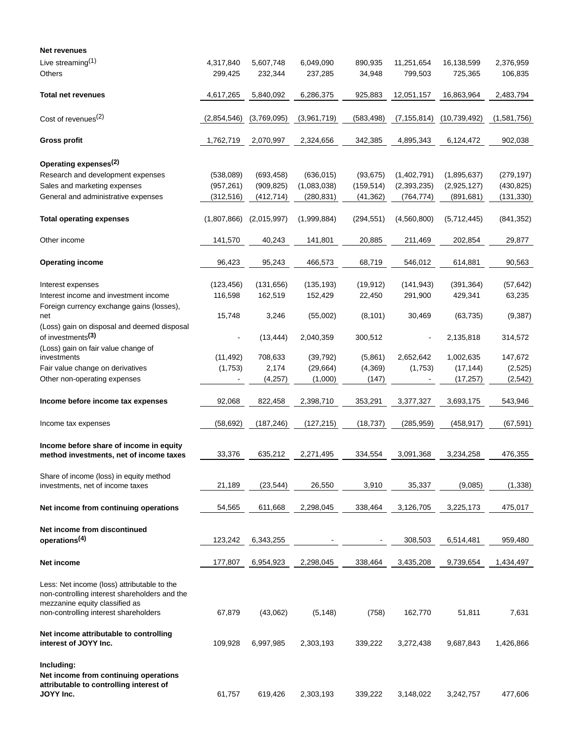| <b>Net revenues</b>                                                    |             |             |             |            |                          |              |             |
|------------------------------------------------------------------------|-------------|-------------|-------------|------------|--------------------------|--------------|-------------|
| Live streaming $(1)$                                                   | 4,317,840   | 5,607,748   | 6,049,090   | 890,935    | 11,251,654               | 16,138,599   | 2,376,959   |
| <b>Others</b>                                                          | 299,425     | 232,344     | 237,285     | 34,948     | 799,503                  | 725,365      | 106,835     |
|                                                                        |             |             |             |            |                          |              |             |
| <b>Total net revenues</b>                                              | 4,617,265   | 5,840,092   | 6,286,375   | 925,883    | 12,051,157               | 16,863,964   | 2,483,794   |
|                                                                        |             |             |             |            |                          |              |             |
| Cost of revenues <sup>(2)</sup>                                        | (2,854,546) | (3,769,095) | (3,961,719) | (583, 498) | (7, 155, 814)            | (10,739,492) | (1,581,756) |
|                                                                        |             |             |             |            |                          |              |             |
| <b>Gross profit</b>                                                    | 1,762,719   | 2,070,997   | 2,324,656   | 342,385    | 4,895,343                | 6,124,472    | 902,038     |
|                                                                        |             |             |             |            |                          |              |             |
| Operating expenses <sup>(2)</sup><br>Research and development expenses | (538,089)   | (693, 458)  | (636, 015)  | (93, 675)  | (1,402,791)              | (1,895,637)  | (279, 197)  |
| Sales and marketing expenses                                           | (957, 261)  | (909, 825)  | (1,083,038) | (159, 514) | (2, 393, 235)            | (2,925,127)  | (430, 825)  |
| General and administrative expenses                                    | (312, 516)  | (412, 714)  | (280, 831)  | (41, 362)  | (764, 774)               | (891, 681)   | (131, 330)  |
|                                                                        |             |             |             |            |                          |              |             |
| <b>Total operating expenses</b>                                        | (1,807,866) | (2,015,997) | (1,999,884) | (294, 551) | (4,560,800)              | (5,712,445)  | (841, 352)  |
|                                                                        |             |             |             |            |                          |              |             |
| Other income                                                           | 141,570     | 40,243      | 141,801     | 20,885     | 211,469                  | 202,854      | 29,877      |
|                                                                        |             |             |             |            |                          |              |             |
| <b>Operating income</b>                                                | 96,423      | 95,243      | 466,573     | 68,719     | 546,012                  | 614,881      | 90,563      |
|                                                                        |             |             |             |            |                          |              |             |
| Interest expenses                                                      | (123, 456)  | (131, 656)  | (135, 193)  | (19, 912)  | (141, 943)               | (391, 364)   | (57, 642)   |
| Interest income and investment income                                  | 116,598     | 162,519     | 152,429     | 22,450     | 291,900                  | 429,341      | 63,235      |
| Foreign currency exchange gains (losses),<br>net                       | 15,748      | 3,246       | (55,002)    | (8, 101)   | 30,469                   | (63, 735)    | (9, 387)    |
| (Loss) gain on disposal and deemed disposal                            |             |             |             |            |                          |              |             |
| of investments <sup>(3)</sup>                                          |             | (13, 444)   | 2,040,359   | 300,512    | $\overline{\phantom{a}}$ | 2,135,818    | 314,572     |
| (Loss) gain on fair value change of                                    |             |             |             |            |                          |              |             |
| investments                                                            | (11, 492)   | 708,633     | (39, 792)   | (5,861)    | 2,652,642                | 1,002,635    | 147,672     |
| Fair value change on derivatives                                       | (1,753)     | 2,174       | (29, 664)   | (4, 369)   | (1,753)                  | (17, 144)    | (2,525)     |
| Other non-operating expenses                                           |             | (4, 257)    | (1,000)     | (147)      |                          | (17, 257)    | (2, 542)    |
|                                                                        |             |             |             |            |                          |              |             |
| Income before income tax expenses                                      | 92,068      | 822,458     | 2,398,710   | 353,291    | 3,377,327                | 3,693,175    | 543,946     |
|                                                                        | (58, 692)   | (187, 246)  |             |            |                          |              |             |
| Income tax expenses                                                    |             |             | (127, 215)  | (18, 737)  | (285, 959)               | (458, 917)   | (67, 591)   |
| Income before share of income in equity                                |             |             |             |            |                          |              |             |
| method investments, net of income taxes                                | 33,376      | 635,212     | 2,271,495   | 334,554    | 3,091,368                | 3,234,258    | 476,355     |
|                                                                        |             |             |             |            |                          |              |             |
| Share of income (loss) in equity method                                |             |             |             |            |                          |              |             |
| investments, net of income taxes                                       | 21,189      | (23, 544)   | 26,550      | 3,910      | 35,337                   | (9,085)      | (1, 338)    |
|                                                                        |             |             |             |            |                          |              |             |
| Net income from continuing operations                                  | 54,565      | 611,668     | 2,298,045   | 338,464    | 3,126,705                | 3,225,173    | 475,017     |
| Net income from discontinued                                           |             |             |             |            |                          |              |             |
| operations <sup>(4)</sup>                                              | 123,242     | 6,343,255   |             |            | 308,503                  | 6,514,481    | 959,480     |
|                                                                        |             |             |             |            |                          |              |             |
| Net income                                                             | 177,807     | 6,954,923   | 2,298,045   | 338,464    | 3,435,208                | 9,739,654    | 1,434,497   |
|                                                                        |             |             |             |            |                          |              |             |
| Less: Net income (loss) attributable to the                            |             |             |             |            |                          |              |             |
| non-controlling interest shareholders and the                          |             |             |             |            |                          |              |             |
| mezzanine equity classified as                                         |             |             |             |            |                          |              |             |
| non-controlling interest shareholders                                  | 67,879      | (43,062)    | (5, 148)    | (758)      | 162,770                  | 51,811       | 7,631       |
| Net income attributable to controlling                                 |             |             |             |            |                          |              |             |
| interest of JOYY Inc.                                                  | 109,928     | 6,997,985   | 2,303,193   | 339,222    | 3,272,438                | 9,687,843    | 1,426,866   |
|                                                                        |             |             |             |            |                          |              |             |
| Including:                                                             |             |             |             |            |                          |              |             |
| Net income from continuing operations                                  |             |             |             |            |                          |              |             |
| attributable to controlling interest of<br>JOYY Inc.                   | 61,757      | 619,426     |             |            |                          |              | 477,606     |
|                                                                        |             |             | 2,303,193   | 339,222    | 3,148,022                | 3,242,757    |             |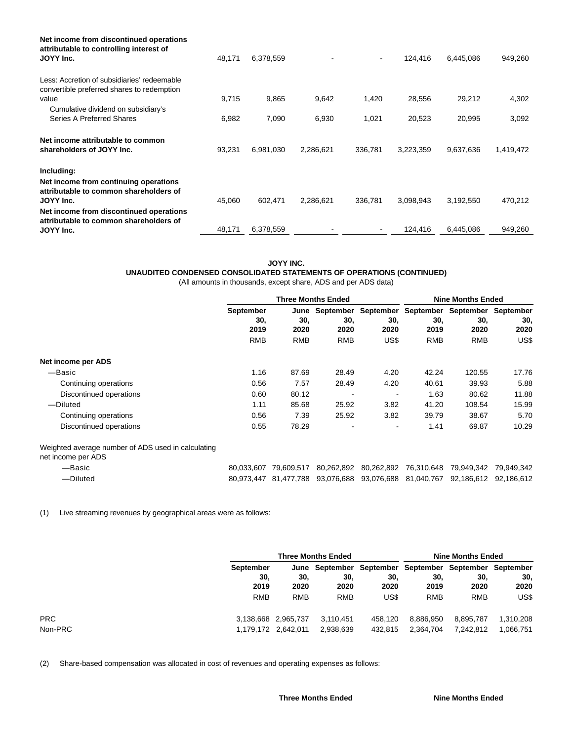| 48,171 | 6,378,559 |           | $\sim$  | 124,416   | 6,445,086 | 949,260   |
|--------|-----------|-----------|---------|-----------|-----------|-----------|
|        |           |           |         |           |           |           |
| 9,715  | 9,865     | 9,642     | 1,420   | 28,556    | 29,212    | 4,302     |
|        |           |           |         |           |           |           |
| 6,982  | 7,090     | 6,930     | 1,021   | 20,523    | 20,995    | 3,092     |
| 93,231 | 6,981,030 | 2,286,621 | 336,781 | 3,223,359 | 9,637,636 | 1,419,472 |
|        |           |           |         |           |           |           |
| 45,060 | 602,471   | 2,286,621 | 336,781 | 3,098,943 | 3,192,550 | 470,212   |
| 48,171 | 6,378,559 |           |         | 124,416   | 6,445,086 | 949,260   |
|        |           |           |         |           |           |           |

# **JOYY INC.**

# **UNAUDITED CONDENSED CONSOLIDATED STATEMENTS OF OPERATIONS (CONTINUED)**

(All amounts in thousands, except share, ADS and per ADS data)

|                                                                          | <b>Three Months Ended</b><br><b>Nine Months Ended</b><br>September September September September<br>September<br>September<br>June<br>30,<br>30,<br>30,<br>30,<br>30,<br>30.<br>2019<br>2020<br>2020<br>2020<br>2019<br>2020<br><b>RMB</b><br><b>RMB</b><br>US\$<br><b>RMB</b><br><b>RMB</b><br><b>RMB</b><br>1.16<br>87.69<br>28.49<br>4.20<br>42.24<br>120.55<br>0.56<br>7.57<br>28.49<br>4.20<br>40.61<br>39.93<br>80.12<br>1.63<br>0.60<br>80.62<br>1.11<br>85.68<br>25.92<br>3.82<br>41.20<br>108.54<br>0.56<br>7.39<br>25.92<br>3.82<br>39.79<br>38.67 |            |            |                                                        |            |            |            |
|--------------------------------------------------------------------------|--------------------------------------------------------------------------------------------------------------------------------------------------------------------------------------------------------------------------------------------------------------------------------------------------------------------------------------------------------------------------------------------------------------------------------------------------------------------------------------------------------------------------------------------------------------|------------|------------|--------------------------------------------------------|------------|------------|------------|
|                                                                          |                                                                                                                                                                                                                                                                                                                                                                                                                                                                                                                                                              |            |            |                                                        |            |            |            |
|                                                                          |                                                                                                                                                                                                                                                                                                                                                                                                                                                                                                                                                              |            |            |                                                        |            |            | 30,        |
|                                                                          |                                                                                                                                                                                                                                                                                                                                                                                                                                                                                                                                                              |            |            |                                                        |            |            | 2020       |
|                                                                          |                                                                                                                                                                                                                                                                                                                                                                                                                                                                                                                                                              |            |            |                                                        |            |            | US\$       |
| Net income per ADS                                                       |                                                                                                                                                                                                                                                                                                                                                                                                                                                                                                                                                              |            |            |                                                        |            |            |            |
| —Basic                                                                   |                                                                                                                                                                                                                                                                                                                                                                                                                                                                                                                                                              |            |            |                                                        |            |            | 17.76      |
| Continuing operations                                                    |                                                                                                                                                                                                                                                                                                                                                                                                                                                                                                                                                              |            |            |                                                        |            |            | 5.88       |
| Discontinued operations                                                  |                                                                                                                                                                                                                                                                                                                                                                                                                                                                                                                                                              |            |            |                                                        |            |            | 11.88      |
| -Diluted                                                                 |                                                                                                                                                                                                                                                                                                                                                                                                                                                                                                                                                              |            |            |                                                        |            |            | 15.99      |
| Continuing operations                                                    |                                                                                                                                                                                                                                                                                                                                                                                                                                                                                                                                                              |            |            |                                                        |            |            | 5.70       |
| Discontinued operations                                                  | 0.55                                                                                                                                                                                                                                                                                                                                                                                                                                                                                                                                                         | 78.29      |            |                                                        | 1.41       | 69.87      | 10.29      |
| Weighted average number of ADS used in calculating<br>net income per ADS |                                                                                                                                                                                                                                                                                                                                                                                                                                                                                                                                                              |            |            |                                                        |            |            |            |
| -Basic                                                                   | 80,033,607                                                                                                                                                                                                                                                                                                                                                                                                                                                                                                                                                   | 79,609,517 | 80,262,892 | 80,262,892                                             | 76,310,648 | 79,949,342 | 79,949,342 |
| -Diluted                                                                 |                                                                                                                                                                                                                                                                                                                                                                                                                                                                                                                                                              |            |            | 80,973,447 81,477,788 93,076,688 93,076,688 81,040,767 |            | 92,186,612 | 92.186.612 |

(1) Live streaming revenues by geographical areas were as follows:

|                       | <b>Three Months Ended</b>                  |             |                        |                    | <b>Nine Months Ended</b>                                              |                        |                        |
|-----------------------|--------------------------------------------|-------------|------------------------|--------------------|-----------------------------------------------------------------------|------------------------|------------------------|
|                       | September<br>30.<br>2019                   | 30,<br>2020 | 30.<br>2020            | 30,<br>2020        | June September September September September September<br>30.<br>2019 | 30.<br>2020            | 30,<br>2020            |
|                       | <b>RMB</b>                                 | <b>RMB</b>  | <b>RMB</b>             | US\$               | <b>RMB</b>                                                            | <b>RMB</b>             | US\$                   |
| <b>PRC</b><br>Non-PRC | 3,138,668 2,965,737<br>1,179,172 2,642,011 |             | 3.110.451<br>2,938,639 | 458.120<br>432.815 | 8.886.950<br>2.364.704                                                | 8.895.787<br>7.242.812 | 1.310.208<br>1,066,751 |

(2) Share-based compensation was allocated in cost of revenues and operating expenses as follows: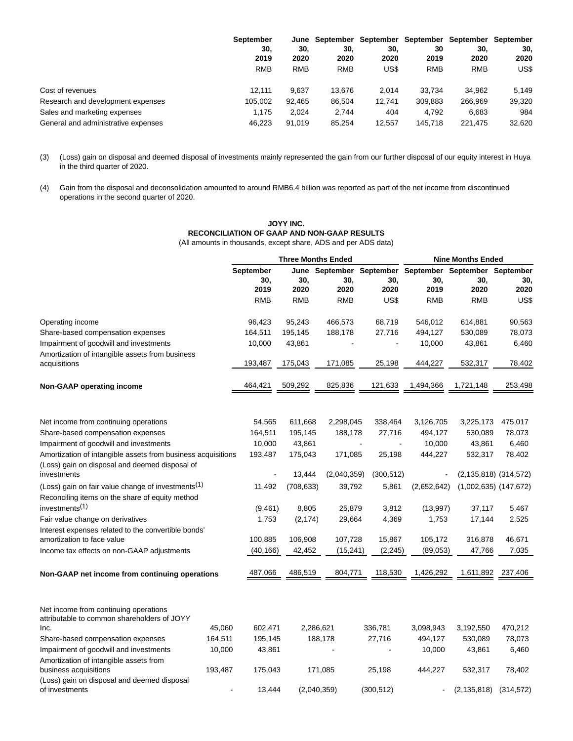|                                     | <b>September</b><br>30.<br>2019 | June<br>30,<br>2020 | September<br>30.<br>2020 | 30,<br>2020 | 30<br>2019 | September September September<br>30.<br>2020 | September<br>30,<br>2020 |
|-------------------------------------|---------------------------------|---------------------|--------------------------|-------------|------------|----------------------------------------------|--------------------------|
|                                     | <b>RMB</b>                      | <b>RMB</b>          | <b>RMB</b>               | US\$        | <b>RMB</b> | <b>RMB</b>                                   | US\$                     |
| Cost of revenues                    | 12.111                          | 9.637               | 13.676                   | 2.014       | 33.734     | 34.962                                       | 5.149                    |
| Research and development expenses   | 105,002                         | 92,465              | 86,504                   | 12,741      | 309,883    | 266,969                                      | 39,320                   |
| Sales and marketing expenses        | 1.175                           | 2.024               | 2.744                    | 404         | 4.792      | 6.683                                        | 984                      |
| General and administrative expenses | 46,223                          | 91.019              | 85.254                   | 12.557      | 145.718    | 221.475                                      | 32,620                   |

(3) (Loss) gain on disposal and deemed disposal of investments mainly represented the gain from our further disposal of our equity interest in Huya in the third quarter of 2020.

(4) Gain from the disposal and deconsolidation amounted to around RMB6.4 billion was reported as part of the net income from discontinued operations in the second quarter of 2020.

# **JOYY INC. RECONCILIATION OF GAAP AND NON-GAAP RESULTS** (All amounts in thousands, except share, ADS and per ADS data)

|                                                                                      |         |            |            | <b>Three Months Ended</b> |                     | <b>Nine Months Ended</b> |               |                              |  |
|--------------------------------------------------------------------------------------|---------|------------|------------|---------------------------|---------------------|--------------------------|---------------|------------------------------|--|
|                                                                                      |         | September  | June       | September                 | September September |                          | September     | September                    |  |
|                                                                                      |         | 30.        | 30,        | 30,                       | 30,                 | 30.                      | 30,           | 30.                          |  |
|                                                                                      |         | 2019       | 2020       | 2020                      | 2020                | 2019                     | 2020          | 2020                         |  |
|                                                                                      |         | <b>RMB</b> | <b>RMB</b> | <b>RMB</b>                | US\$                | <b>RMB</b>               | <b>RMB</b>    | US\$                         |  |
| Operating income                                                                     |         | 96,423     | 95,243     | 466,573                   | 68,719              | 546,012                  | 614,881       | 90,563                       |  |
| Share-based compensation expenses                                                    |         | 164,511    | 195,145    | 188,178                   | 27,716              | 494,127                  | 530,089       | 78,073                       |  |
| Impairment of goodwill and investments                                               |         | 10,000     | 43,861     |                           |                     | 10,000                   | 43,861        | 6,460                        |  |
| Amortization of intangible assets from business                                      |         |            |            |                           |                     |                          |               |                              |  |
| acquisitions                                                                         |         | 193,487    | 175,043    | 171,085                   | 25,198              | 444,227                  | 532,317       | 78,402                       |  |
| <b>Non-GAAP operating income</b>                                                     |         | 464,421    | 509,292    | 825,836                   | 121,633             | 1,494,366                | 1,721,148     | 253,498                      |  |
|                                                                                      |         |            |            |                           |                     |                          |               |                              |  |
| Net income from continuing operations                                                |         | 54,565     | 611,668    | 2,298,045                 | 338,464             | 3,126,705                | 3,225,173     | 475,017                      |  |
| Share-based compensation expenses                                                    |         | 164,511    | 195,145    | 188,178                   | 27,716              | 494,127                  | 530,089       | 78,073                       |  |
| Impairment of goodwill and investments                                               |         | 10,000     | 43,861     |                           |                     | 10,000                   | 43,861        | 6,460                        |  |
| Amortization of intangible assets from business acquisitions                         |         | 193,487    | 175,043    | 171,085                   | 25,198              | 444,227                  | 532,317       | 78,402                       |  |
| (Loss) gain on disposal and deemed disposal of                                       |         |            |            |                           |                     |                          |               |                              |  |
| investments                                                                          |         |            | 13,444     | (2,040,359)               | (300, 512)          |                          |               | $(2, 135, 818)$ $(314, 572)$ |  |
| (Loss) gain on fair value change of investments <sup>(1)</sup>                       |         | 11,492     | (708, 633) | 39,792                    | 5,861               | (2,652,642)              |               | $(1,002,635)$ $(147,672)$    |  |
| Reconciling items on the share of equity method                                      |         |            |            |                           |                     |                          |               |                              |  |
| investments <sup>(1)</sup>                                                           |         | (9,461)    | 8,805      | 25,879                    | 3,812               | (13, 997)                | 37,117        | 5,467                        |  |
| Fair value change on derivatives                                                     |         | 1,753      | (2, 174)   | 29,664                    | 4,369               | 1,753                    | 17,144        | 2,525                        |  |
| Interest expenses related to the convertible bonds'                                  |         |            |            |                           |                     |                          |               |                              |  |
| amortization to face value                                                           |         | 100,885    | 106,908    | 107,728                   | 15,867              | 105,172                  | 316,878       | 46,671                       |  |
| Income tax effects on non-GAAP adjustments                                           |         | (40, 166)  | 42,452     | (15, 241)                 | (2, 245)            | (89,053)                 | 47,766        | 7,035                        |  |
| Non-GAAP net income from continuing operations                                       |         | 487,066    | 486,519    | 804,771                   | 118,530             | 1,426,292                | 1,611,892     | 237,406                      |  |
|                                                                                      |         |            |            |                           |                     |                          |               |                              |  |
| Net income from continuing operations<br>attributable to common shareholders of JOYY |         |            |            |                           |                     |                          |               |                              |  |
| Inc.                                                                                 | 45,060  | 602,471    |            | 2,286,621                 | 336,781             | 3,098,943                | 3,192,550     | 470,212                      |  |
| Share-based compensation expenses                                                    | 164,511 | 195,145    |            | 188,178                   | 27,716              | 494,127                  | 530,089       | 78,073                       |  |
| Impairment of goodwill and investments                                               | 10,000  | 43,861     |            |                           |                     | 10,000                   | 43,861        | 6,460                        |  |
| Amortization of intangible assets from                                               |         |            |            |                           |                     |                          |               |                              |  |
| business acquisitions                                                                | 193,487 | 175,043    |            | 171,085                   | 25,198              | 444,227                  | 532,317       | 78,402                       |  |
| (Loss) gain on disposal and deemed disposal                                          |         |            |            |                           |                     |                          |               |                              |  |
| of investments                                                                       |         | 13,444     |            | (2,040,359)               | (300, 512)          |                          | (2, 135, 818) | (314, 572)                   |  |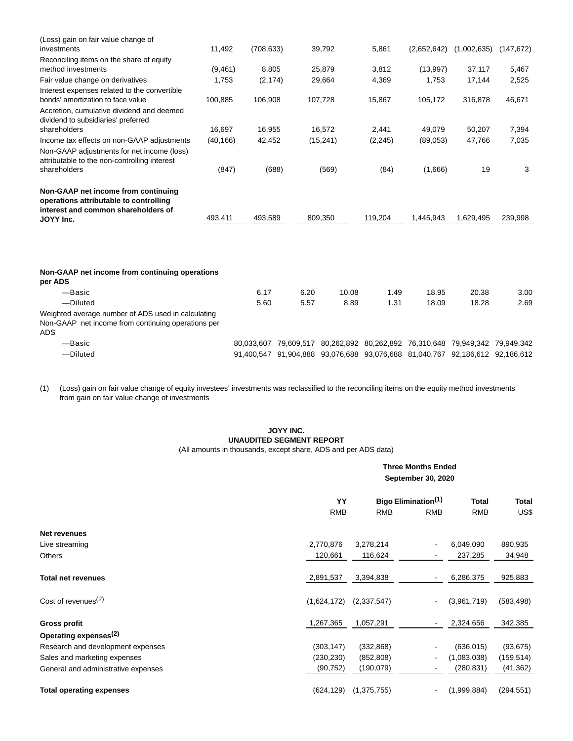| (Loss) gain on fair value change of                                                                                    |           |            |       |           |          |                                                                              |             |            |
|------------------------------------------------------------------------------------------------------------------------|-----------|------------|-------|-----------|----------|------------------------------------------------------------------------------|-------------|------------|
| investments                                                                                                            | 11,492    | (708, 633) |       | 39,792    | 5,861    | (2,652,642)                                                                  | (1,002,635) | (147, 672) |
| Reconciling items on the share of equity                                                                               |           |            |       |           |          |                                                                              |             |            |
| method investments                                                                                                     | (9, 461)  | 8,805      |       | 25,879    | 3,812    | (13,997)                                                                     | 37,117      | 5,467      |
| Fair value change on derivatives                                                                                       | 1,753     | (2, 174)   |       | 29,664    | 4,369    | 1.753                                                                        | 17,144      | 2,525      |
| Interest expenses related to the convertible                                                                           |           |            |       |           |          |                                                                              |             |            |
| bonds' amortization to face value                                                                                      | 100,885   | 106,908    |       | 107,728   | 15,867   | 105,172                                                                      | 316,878     | 46,671     |
| Accretion, cumulative dividend and deemed                                                                              |           |            |       |           |          |                                                                              |             |            |
| dividend to subsidiaries' preferred                                                                                    |           |            |       |           |          |                                                                              |             |            |
| shareholders                                                                                                           | 16,697    | 16,955     |       | 16,572    | 2,441    | 49,079                                                                       | 50,207      | 7,394      |
| Income tax effects on non-GAAP adjustments                                                                             | (40, 166) | 42,452     |       | (15, 241) | (2, 245) | (89,053)                                                                     | 47,766      | 7,035      |
| Non-GAAP adjustments for net income (loss)                                                                             |           |            |       |           |          |                                                                              |             |            |
| attributable to the non-controlling interest                                                                           |           |            |       |           |          |                                                                              |             |            |
| shareholders                                                                                                           | (847)     |            | (688) | (569)     | (84)     | (1,666)                                                                      | 19          | 3          |
| Non-GAAP net income from continuing<br>operations attributable to controlling                                          |           |            |       |           |          |                                                                              |             |            |
| interest and common shareholders of                                                                                    |           |            |       |           |          |                                                                              |             |            |
| JOYY Inc.                                                                                                              | 493,411   | 493,589    |       | 809,350   | 119,204  | 1,445,943                                                                    | 1,629,495   | 239,998    |
|                                                                                                                        |           |            |       |           |          |                                                                              |             |            |
| Non-GAAP net income from continuing operations<br>per ADS                                                              |           |            |       |           |          |                                                                              |             |            |
| -Basic                                                                                                                 |           | 6.17       | 6.20  | 10.08     | 1.49     | 18.95                                                                        | 20.38       | 3.00       |
| -Diluted                                                                                                               |           | 5.60       | 5.57  | 8.89      | 1.31     | 18.09                                                                        | 18.28       | 2.69       |
| Weighted average number of ADS used in calculating<br>Non-GAAP net income from continuing operations per<br><b>ADS</b> |           |            |       |           |          |                                                                              |             |            |
| -Basic                                                                                                                 |           |            |       |           |          | 80,033,607 79,609,517 80,262,892 80,262,892 76,310,648 79,949,342 79,949,342 |             |            |

(1) (Loss) gain on fair value change of equity investees' investments was reclassified to the reconciling items on the equity method investments from gain on fair value change of investments

—Diluted 91,400,547 91,904,888 93,076,688 93,076,688 81,040,767 92,186,612 92,186,612

# **JOYY INC. UNAUDITED SEGMENT REPORT**

|                                              |             |                    | <b>Three Months Ended</b>       |             |            |  |  |
|----------------------------------------------|-------------|--------------------|---------------------------------|-------------|------------|--|--|
|                                              |             | September 30, 2020 |                                 |             |            |  |  |
|                                              | YY          |                    | Bigo Elimination <sup>(1)</sup> | Total       | Total      |  |  |
|                                              | <b>RMB</b>  | <b>RMB</b>         | <b>RMB</b>                      | <b>RMB</b>  | US\$       |  |  |
| Net revenues                                 |             |                    |                                 |             |            |  |  |
| Live streaming                               | 2,770,876   | 3,278,214          |                                 | 6,049,090   | 890,935    |  |  |
| Others                                       | 120,661     | 116,624            | ۰.                              | 237,285     | 34,948     |  |  |
| <b>Total net revenues</b>                    | 2,891,537   | 3,394,838          |                                 | 6,286,375   | 925,883    |  |  |
| Cost of revenues <sup><math>(2)</math></sup> | (1,624,172) | (2,337,547)        |                                 | (3,961,719) | (583, 498) |  |  |
| <b>Gross profit</b>                          | 1,267,365   | 1,057,291          |                                 | 2,324,656   | 342,385    |  |  |
| Operating expenses <sup>(2)</sup>            |             |                    |                                 |             |            |  |  |
| Research and development expenses            | (303, 147)  | (332, 868)         |                                 | (636, 015)  | (93, 675)  |  |  |
| Sales and marketing expenses                 | (230, 230)  | (852, 808)         |                                 | (1,083,038) | (159, 514) |  |  |
| General and administrative expenses          | (90, 752)   | (190, 079)         | $\blacksquare$                  | (280, 831)  | (41, 362)  |  |  |
| <b>Total operating expenses</b>              | (624, 129)  | (1,375,755)        |                                 | (1,999,884) | (294, 551) |  |  |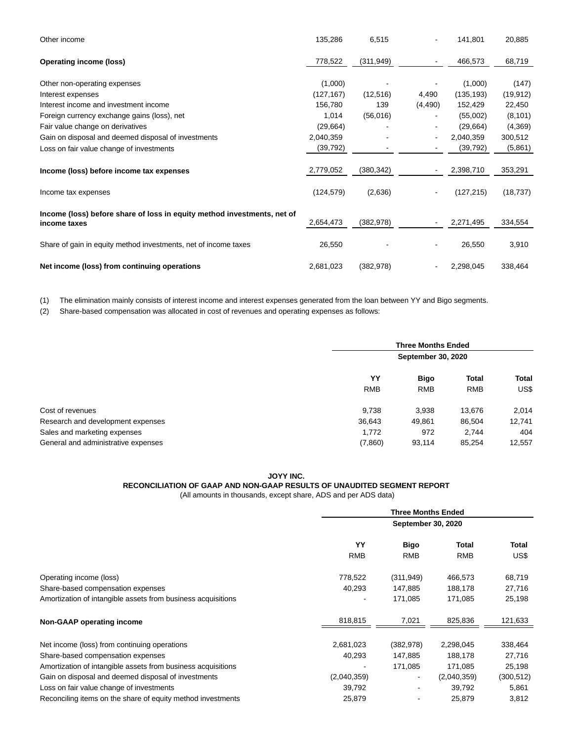| Other income                                                                            | 135,286    | 6,515      |                          | 141,801    | 20,885    |
|-----------------------------------------------------------------------------------------|------------|------------|--------------------------|------------|-----------|
| <b>Operating income (loss)</b>                                                          | 778,522    | (311, 949) |                          | 466,573    | 68,719    |
| Other non-operating expenses                                                            | (1,000)    |            |                          | (1,000)    | (147)     |
| Interest expenses                                                                       | (127, 167) | (12, 516)  | 4,490                    | (135, 193) | (19, 912) |
| Interest income and investment income                                                   | 156,780    | 139        | (4, 490)                 | 152,429    | 22,450    |
| Foreign currency exchange gains (loss), net                                             | 1,014      | (56,016)   | $\overline{\phantom{a}}$ | (55,002)   | (8, 101)  |
| Fair value change on derivatives                                                        | (29,664)   |            | $\blacksquare$           | (29,664)   | (4,369)   |
| Gain on disposal and deemed disposal of investments                                     | 2,040,359  |            | ۰.                       | 2,040,359  | 300,512   |
| Loss on fair value change of investments                                                | (39, 792)  |            | $\blacksquare$           | (39, 792)  | (5,861)   |
|                                                                                         |            |            |                          |            |           |
| Income (loss) before income tax expenses                                                | 2,779,052  | (380, 342) |                          | 2,398,710  | 353,291   |
| Income tax expenses                                                                     | (124, 579) | (2,636)    |                          | (127, 215) | (18, 737) |
| Income (loss) before share of loss in equity method investments, net of<br>income taxes | 2,654,473  | (382, 978) |                          | 2,271,495  | 334,554   |
| Share of gain in equity method investments, net of income taxes                         | 26,550     |            |                          | 26,550     | 3,910     |
| Net income (loss) from continuing operations                                            | 2,681,023  | (382, 978) |                          | 2,298,045  | 338,464   |

(1) The elimination mainly consists of interest income and interest expenses generated from the loan between YY and Bigo segments.

(2) Share-based compensation was allocated in cost of revenues and operating expenses as follows:

|                                     | <b>Three Months Ended</b> |             |              |        |  |
|-------------------------------------|---------------------------|-------------|--------------|--------|--|
|                                     | September 30, 2020        |             |              |        |  |
|                                     | YY                        | <b>Bigo</b> | <b>Total</b> | Total  |  |
|                                     | <b>RMB</b>                | <b>RMB</b>  | <b>RMB</b>   | US\$   |  |
| Cost of revenues                    | 9.738                     | 3.938       | 13,676       | 2,014  |  |
| Research and development expenses   | 36,643                    | 49,861      | 86,504       | 12,741 |  |
| Sales and marketing expenses        | 1,772                     | 972         | 2.744        | 404    |  |
| General and administrative expenses | (7,860)                   | 93,114      | 85,254       | 12,557 |  |

### **JOYY INC.**

# **RECONCILIATION OF GAAP AND NON-GAAP RESULTS OF UNAUDITED SEGMENT REPORT**

|                                                              | <b>Three Months Ended</b> |             |             |           |  |  |
|--------------------------------------------------------------|---------------------------|-------------|-------------|-----------|--|--|
|                                                              | <b>September 30, 2020</b> |             |             |           |  |  |
|                                                              | YY                        | <b>Bigo</b> | Total       | Total     |  |  |
|                                                              | <b>RMB</b>                | <b>RMB</b>  | <b>RMB</b>  | US\$      |  |  |
| Operating income (loss)                                      | 778,522                   | (311, 949)  | 466,573     | 68,719    |  |  |
| Share-based compensation expenses                            | 40,293                    | 147,885     | 188,178     | 27,716    |  |  |
| Amortization of intangible assets from business acquisitions |                           | 171,085     | 171,085     | 25,198    |  |  |
| Non-GAAP operating income                                    | 818,815                   | 7,021       | 825,836     | 121,633   |  |  |
| Net income (loss) from continuing operations                 | 2,681,023                 | (382, 978)  | 2,298,045   | 338,464   |  |  |
| Share-based compensation expenses                            | 40,293                    | 147,885     | 188,178     | 27,716    |  |  |
| Amortization of intangible assets from business acquisitions |                           | 171,085     | 171,085     | 25,198    |  |  |
| Gain on disposal and deemed disposal of investments          | (2,040,359)               |             | (2,040,359) | (300,512) |  |  |
| Loss on fair value change of investments                     | 39,792                    |             | 39,792      | 5,861     |  |  |
| Reconciling items on the share of equity method investments  | 25,879                    |             | 25,879      | 3,812     |  |  |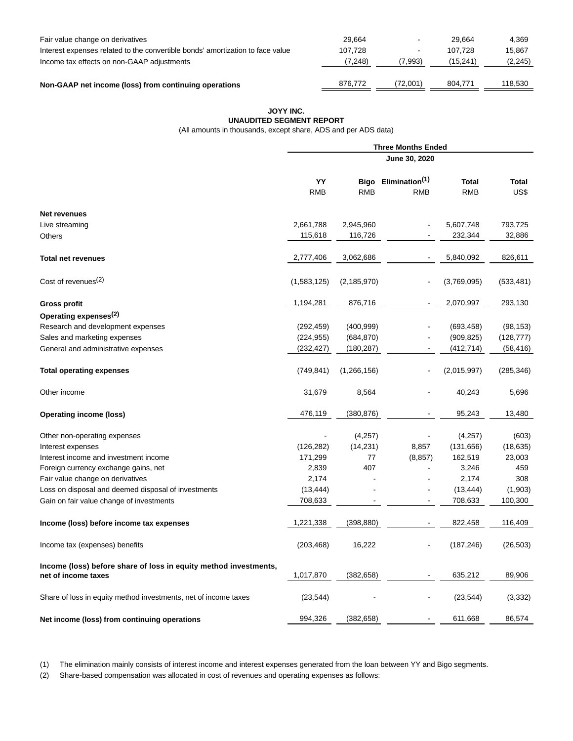| Non-GAAP net income (loss) from continuing operations                          | 876.772 | (72.001)       | 804.771  | 118.530  |
|--------------------------------------------------------------------------------|---------|----------------|----------|----------|
| Income tax effects on non-GAAP adjustments                                     | (7.248) | (7,993)        | (15.241) | (2, 245) |
| Interest expenses related to the convertible bonds' amortization to face value | 107.728 | $\blacksquare$ | 107.728  | 15.867   |
| Fair value change on derivatives                                               | 29.664  | $\blacksquare$ | 29.664   | 4.369    |
|                                                                                |         |                |          |          |

### **JOYY INC. UNAUDITED SEGMENT REPORT** (All amounts in thousands, except share, ADS and per ADS data)

**Three Months Ended June 30, 2020 YY Bigo Elimination(1) Total Total** RMB RMB RMB RMB US\$ **Net revenues** Live streaming 2,661,788 2,945,960 - 5,607,748 793,725 Others 115,618 116,726 - 232,344 32,886 **Total net revenues** 2,777,406 3,062,686 - 5,840,092 826,611 Cost of revenues<sup>(2)</sup> (2,185,970) (3,185,970) (3,769,095) (533,481) **Gross profit** 1,194,281 876,716 - 2,070,997 293,130 **Operating expenses(2)** Research and development expenses (292,459) (400,999) (400,999) (693,458) (98,153) Sales and marketing expenses (224,955) (684,870) - (909,825) (128,777) General and administrative expenses (232,427) (180,287) (180,287) (412,714) (58,416) **Total operating expenses** (749,841) (1,266,156) - (2,015,997) (285,346) Other income 31,679 8,564 - 40,243 5,696 - 5,696 100 11 - 31,679 - 31,679 - 31,679 - 40,243 5,696 **Operating income (loss)** 476,119 (380,876) 476,119 (380,876) 476,119 (380,876) 476,119 **(191)** Other non-operating expenses and the set of the set of the set of the set of the set of the set of the set of the set of the set of the set of the set of the set of the set of the set of the set of the set of the set of th Interest expenses (126,282) (14,231) 8,857 (131,656) (18,635) Interest income and investment income 171,299 177 (8,857) 162,519 23,003 Foreign currency exchange gains, net  $2,839$   $407$   $400$   $459$ Fair value change on derivatives and the control of the control of the control of the control of the control of the control of the control of the control of the control of the control of the control of the control of the c Loss on disposal and deemed disposal of investments (13,444) (13,444) - (13,444) (13,444) (1,903) Gain on fair value change of investments and the state of the control of the 708,633 100,300 Cain on the 708,633 100,300 **Income (loss) before income tax expenses** 1,221,338 (398,880) - 822,458 116,409 Income tax (expenses) benefits (203,468) 16,222 (187,246) (26,503) **Income (loss) before share of loss in equity method investments, net of income taxes** 1,017,870 (382,658) - 635,212 89,906 Share of loss in equity method investments, net of income taxes (23,544)  $(23,544)$   $(3,332)$   $(3,332)$ **Net income (loss) from continuing operations 1994,326** (382,658) **1994,326** (382,658) **1994,326 11,668** 86,574

(1) The elimination mainly consists of interest income and interest expenses generated from the loan between YY and Bigo segments.

(2) Share-based compensation was allocated in cost of revenues and operating expenses as follows: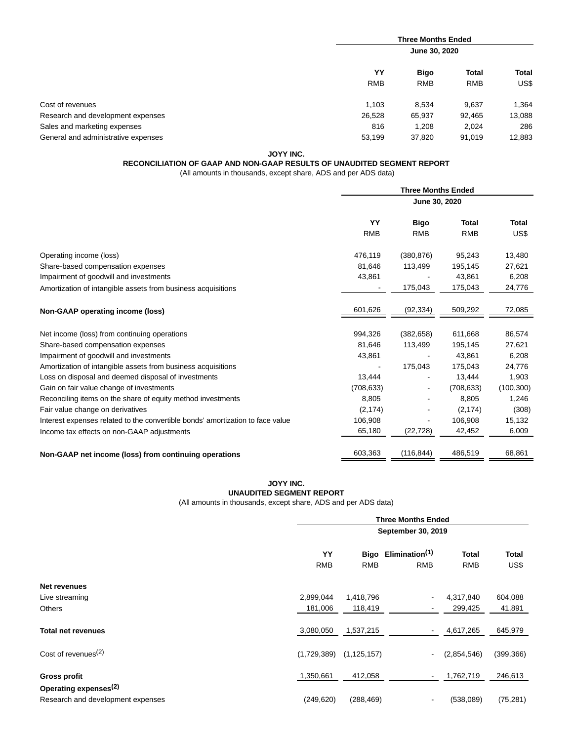|                                     | <b>Three Months Ended</b><br>June 30, 2020 |             |              |        |
|-------------------------------------|--------------------------------------------|-------------|--------------|--------|
|                                     |                                            |             |              |        |
|                                     | YY                                         | <b>Bigo</b> | <b>Total</b> | Total  |
|                                     | <b>RMB</b>                                 | <b>RMB</b>  | <b>RMB</b>   | US\$   |
| Cost of revenues                    | 1.103                                      | 8.534       | 9,637        | 1,364  |
| Research and development expenses   | 26,528                                     | 65,937      | 92,465       | 13,088 |
| Sales and marketing expenses        | 816                                        | 1,208       | 2,024        | 286    |
| General and administrative expenses | 53,199                                     | 37,820      | 91,019       | 12,883 |

**JOYY INC.**

#### **RECONCILIATION OF GAAP AND NON-GAAP RESULTS OF UNAUDITED SEGMENT REPORT**

(All amounts in thousands, except share, ADS and per ADS data)

|                                                                                | <b>Three Months Ended</b><br>June 30, 2020 |             |              |            |  |
|--------------------------------------------------------------------------------|--------------------------------------------|-------------|--------------|------------|--|
|                                                                                |                                            |             |              |            |  |
|                                                                                | YY                                         | <b>Bigo</b> | <b>Total</b> | Total      |  |
|                                                                                | <b>RMB</b>                                 | <b>RMB</b>  | <b>RMB</b>   | US\$       |  |
| Operating income (loss)                                                        | 476,119                                    | (380, 876)  | 95,243       | 13,480     |  |
| Share-based compensation expenses                                              | 81,646                                     | 113,499     | 195,145      | 27,621     |  |
| Impairment of goodwill and investments                                         | 43,861                                     |             | 43,861       | 6,208      |  |
| Amortization of intangible assets from business acquisitions                   |                                            | 175,043     | 175,043      | 24,776     |  |
| <b>Non-GAAP operating income (loss)</b>                                        | 601,626                                    | (92, 334)   | 509,292      | 72,085     |  |
| Net income (loss) from continuing operations                                   | 994,326                                    | (382, 658)  | 611,668      | 86,574     |  |
| Share-based compensation expenses                                              | 81,646                                     | 113,499     | 195,145      | 27,621     |  |
| Impairment of goodwill and investments                                         | 43,861                                     |             | 43,861       | 6,208      |  |
| Amortization of intangible assets from business acquisitions                   |                                            | 175,043     | 175,043      | 24,776     |  |
| Loss on disposal and deemed disposal of investments                            | 13,444                                     |             | 13,444       | 1,903      |  |
| Gain on fair value change of investments                                       | (708, 633)                                 |             | (708, 633)   | (100, 300) |  |
| Reconciling items on the share of equity method investments                    | 8,805                                      |             | 8,805        | 1,246      |  |
| Fair value change on derivatives                                               | (2, 174)                                   |             | (2, 174)     | (308)      |  |
| Interest expenses related to the convertible bonds' amortization to face value | 106,908                                    |             | 106,908      | 15,132     |  |
| Income tax effects on non-GAAP adjustments                                     | 65,180                                     | (22, 728)   | 42,452       | 6,009      |  |
| Non-GAAP net income (loss) from continuing operations                          | 603,363                                    | (116, 844)  | 486,519      | 68,861     |  |

# **JOYY INC. UNAUDITED SEGMENT REPORT**

|                                              |             | <b>Three Months Ended</b> |                                 |              |              |  |  |  |
|----------------------------------------------|-------------|---------------------------|---------------------------------|--------------|--------------|--|--|--|
|                                              |             | September 30, 2019        |                                 |              |              |  |  |  |
|                                              | YY          |                           | Bigo Elimination <sup>(1)</sup> | <b>Total</b> | <b>Total</b> |  |  |  |
|                                              | <b>RMB</b>  | <b>RMB</b>                | <b>RMB</b>                      | <b>RMB</b>   | US\$         |  |  |  |
| Net revenues                                 |             |                           |                                 |              |              |  |  |  |
| Live streaming                               | 2,899,044   | 1,418,796                 |                                 | 4,317,840    | 604,088      |  |  |  |
| <b>Others</b>                                | 181,006     | 118,419                   |                                 | 299,425      | 41,891       |  |  |  |
| <b>Total net revenues</b>                    | 3,080,050   | 1,537,215                 |                                 | 4,617,265    | 645,979      |  |  |  |
| Cost of revenues <sup><math>(2)</math></sup> | (1,729,389) | (1, 125, 157)             |                                 | (2,854,546)  | (399, 366)   |  |  |  |
| <b>Gross profit</b>                          | 1,350,661   | 412,058                   |                                 | 1,762,719    | 246,613      |  |  |  |
| Operating expenses <sup>(2)</sup>            |             |                           |                                 |              |              |  |  |  |
| Research and development expenses            | (249, 620)  | (288, 469)                | ۰.                              | (538,089)    | (75, 281)    |  |  |  |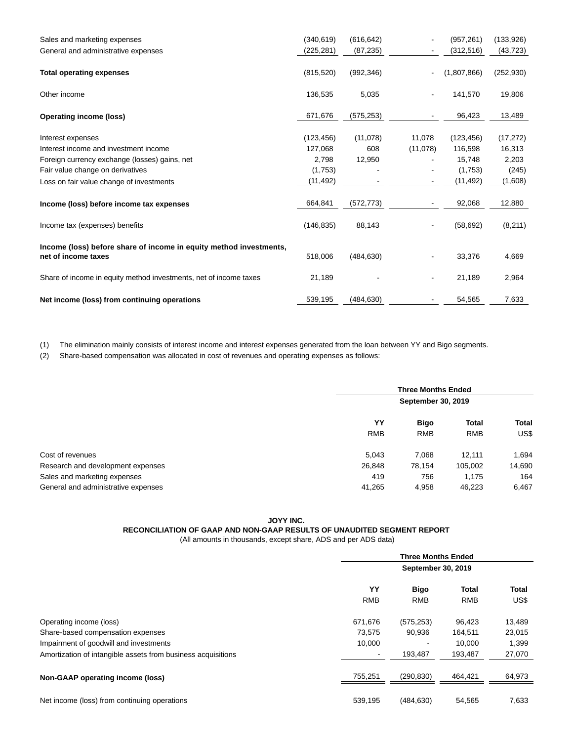| Sales and marketing expenses                                                              | (340, 619) | (616, 642) | ۰        | (957, 261)  | (133,926)  |
|-------------------------------------------------------------------------------------------|------------|------------|----------|-------------|------------|
| General and administrative expenses                                                       | (225, 281) | (87, 235)  |          | (312, 516)  | (43, 723)  |
| <b>Total operating expenses</b>                                                           | (815, 520) | (992, 346) |          | (1,807,866) | (252, 930) |
| Other income                                                                              | 136,535    | 5,035      |          | 141,570     | 19,806     |
| <b>Operating income (loss)</b>                                                            | 671,676    | (575, 253) |          | 96,423      | 13,489     |
| Interest expenses                                                                         | (123, 456) | (11,078)   | 11,078   | (123, 456)  | (17, 272)  |
| Interest income and investment income                                                     | 127,068    | 608        | (11,078) | 116,598     | 16,313     |
| Foreign currency exchange (losses) gains, net                                             | 2,798      | 12,950     |          | 15,748      | 2,203      |
| Fair value change on derivatives                                                          | (1,753)    |            |          | (1,753)     | (245)      |
| Loss on fair value change of investments                                                  | (11, 492)  |            |          | (11,492)    | (1,608)    |
| Income (loss) before income tax expenses                                                  | 664,841    | (572, 773) |          | 92,068      | 12,880     |
| Income tax (expenses) benefits                                                            | (146, 835) | 88,143     |          | (58, 692)   | (8,211)    |
| Income (loss) before share of income in equity method investments,<br>net of income taxes | 518,006    | (484, 630) | ۰        | 33,376      | 4,669      |
| Share of income in equity method investments, net of income taxes                         | 21,189     |            | ۰        | 21,189      | 2,964      |
| Net income (loss) from continuing operations                                              | 539,195    | (484, 630) |          | 54,565      | 7,633      |

(1) The elimination mainly consists of interest income and interest expenses generated from the loan between YY and Bigo segments.

(2) Share-based compensation was allocated in cost of revenues and operating expenses as follows:

|                                     | <b>Three Months Ended</b> |             |              |        |  |
|-------------------------------------|---------------------------|-------------|--------------|--------|--|
|                                     | September 30, 2019        |             |              |        |  |
|                                     | YY                        | <b>Bigo</b> | <b>Total</b> | Total  |  |
|                                     | <b>RMB</b>                | <b>RMB</b>  | <b>RMB</b>   | US\$   |  |
| Cost of revenues                    | 5.043                     | 7.068       | 12,111       | 1,694  |  |
| Research and development expenses   | 26,848                    | 78,154      | 105,002      | 14,690 |  |
| Sales and marketing expenses        | 419                       | 756         | 1.175        | 164    |  |
| General and administrative expenses | 41,265                    | 4.958       | 46,223       | 6,467  |  |

# **JOYY INC.**

# **RECONCILIATION OF GAAP AND NON-GAAP RESULTS OF UNAUDITED SEGMENT REPORT**

|                                                              | <b>Three Months Ended</b><br>September 30, 2019 |             |              |              |  |
|--------------------------------------------------------------|-------------------------------------------------|-------------|--------------|--------------|--|
|                                                              |                                                 |             |              |              |  |
|                                                              | YY                                              | <b>Bigo</b> | <b>Total</b> | <b>Total</b> |  |
|                                                              | <b>RMB</b>                                      | <b>RMB</b>  | <b>RMB</b>   | US\$         |  |
| Operating income (loss)                                      | 671,676                                         | (575, 253)  | 96,423       | 13,489       |  |
| Share-based compensation expenses                            | 73,575                                          | 90,936      | 164,511      | 23,015       |  |
| Impairment of goodwill and investments                       | 10,000                                          |             | 10,000       | 1,399        |  |
| Amortization of intangible assets from business acquisitions | $\overline{\phantom{a}}$                        | 193,487     | 193,487      | 27,070       |  |
| Non-GAAP operating income (loss)                             | 755,251                                         | (290, 830)  | 464,421      | 64,973       |  |
|                                                              |                                                 |             |              |              |  |
| Net income (loss) from continuing operations                 | 539,195                                         | (484, 630)  | 54,565       | 7,633        |  |